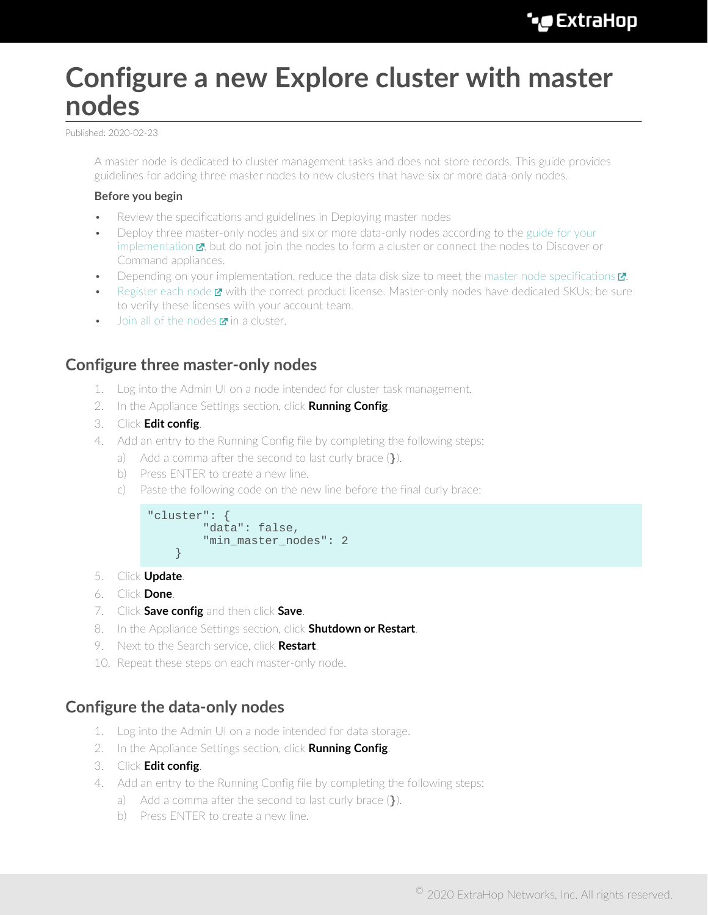# **Configure a new Explore cluster with master nodes**

Published: 2020-02-23

A master node is dedicated to cluster management tasks and does not store records. This guide provides guidelines for adding three master nodes to new clusters that have six or more data-only nodes.

#### **Before you begin**

- Review the specifications and guidelines in Deploying master nodes
- Deploy three master-only nodes and six or more data-only nodes according to the [guide for your](https://docs.extrahop.com/7.9/deploy/#explore-appliance) [implementation](https://docs.extrahop.com/7.9/deploy/#explore-appliance)  $\mathbf{z}$ , but do not join the nodes to form a cluster or connect the nodes to Discover or Command appliances.
- Depending on your implementation, reduce the data disk size to meet the [master node specifications](https://docs.extrahop.com/7.9/deploy-exa-master/#master-node-specifications)  $\mathbb{Z}$ .
- [Register each node](https://docs.extrahop.com/7.9/register-appliance) **E** with the correct product license. Master-only nodes have dedicated SKUs; be sure to verify these licenses with your account team.
- **[Join all of the nodes](https://docs.extrahop.com/7.9/deploy-exa/#create-an-explore-cluster)**  $\blacksquare$  **in a cluster.**

## **Configure three master-only nodes**

- 1. Log into the Admin UI on a node intended for cluster task management.
- 2. In the Appliance Settings section, click **Running Config**.
- 3. Click **Edit config**.
- 4. Add an entry to the Running Config file by completing the following steps:
	- a) Add a comma after the second to last curly brace (}).
	- b) Press ENTER to create a new line.
	- c) Paste the following code on the new line before the final curly brace:



- 5. Click **Update**.
- 6. Click **Done**.
- 7. Click **Save config** and then click **Save**.
- 8. In the Appliance Settings section, click **Shutdown or Restart**.
- 9. Next to the Search service, click **Restart**.
- 10. Repeat these steps on each master-only node.

## **Configure the data-only nodes**

- 1. Log into the Admin UI on a node intended for data storage.
- 2. In the Appliance Settings section, click **Running Config**.
- 3. Click **Edit config**.
- 4. Add an entry to the Running Config file by completing the following steps:
	- a) Add a comma after the second to last curly brace (}).
	- b) Press ENTER to create a new line.